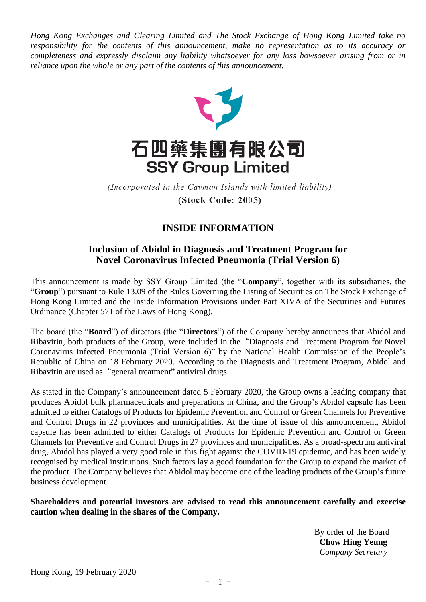*Hong Kong Exchanges and Clearing Limited and The Stock Exchange of Hong Kong Limited take no responsibility for the contents of this announcement, make no representation as to its accuracy or completeness and expressly disclaim any liability whatsoever for any loss howsoever arising from or in reliance upon the whole or any part of the contents of this announcement.*



(Incorporated in the Cayman Islands with limited liability)

(Stock Code: 2005)

## **INSIDE INFORMATION**

## **Inclusion of Abidol in Diagnosis and Treatment Program for Novel Coronavirus Infected Pneumonia (Trial Version 6)**

This announcement is made by SSY Group Limited (the "**Company**", together with its subsidiaries, the "**Group**") pursuant to Rule 13.09 of the Rules Governing the Listing of Securities on The Stock Exchange of Hong Kong Limited and the Inside Information Provisions under Part XIVA of the Securities and Futures Ordinance (Chapter 571 of the Laws of Hong Kong).

The board (the "**Board**") of directors (the "**Directors**") of the Company hereby announces that Abidol and Ribavirin, both products of the Group, were included in the"Diagnosis and Treatment Program for Novel Coronavirus Infected Pneumonia (Trial Version 6)" by the National Health Commission of the People's Republic of China on 18 February 2020. According to the Diagnosis and Treatment Program, Abidol and Ribavirin are used as "general treatment" antiviral drugs.

As stated in the Company's announcement dated 5 February 2020, the Group owns a leading company that produces Abidol bulk pharmaceuticals and preparations in China, and the Group's Abidol capsule has been admitted to either Catalogs of Products for Epidemic Prevention and Control or Green Channels for Preventive and Control Drugs in 22 provinces and municipalities. At the time of issue of this announcement, Abidol capsule has been admitted to either Catalogs of Products for Epidemic Prevention and Control or Green Channels for Preventive and Control Drugs in 27 provinces and municipalities. As a broad-spectrum antiviral drug, Abidol has played a very good role in this fight against the COVID-19 epidemic, and has been widely recognised by medical institutions. Such factors lay a good foundation for the Group to expand the market of the product. The Company believes that Abidol may become one of the leading products of the Group's future business development.

**Shareholders and potential investors are advised to read this announcement carefully and exercise caution when dealing in the shares of the Company.**

> By order of the Board **Chow Hing Yeung** *Company Secretary*